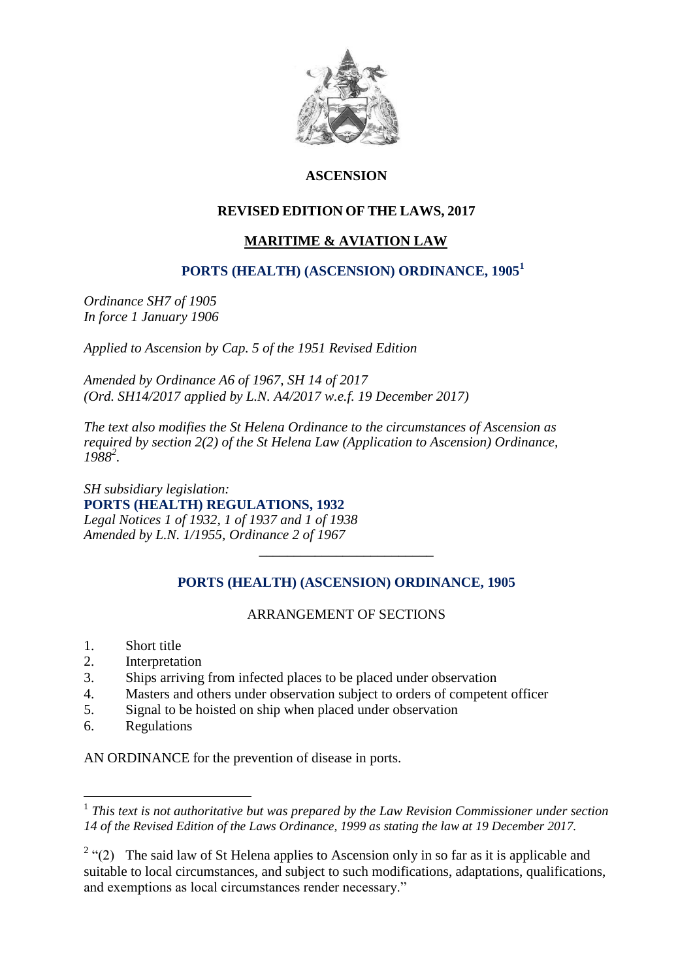

# **ASCENSION**

# **REVISED EDITION OF THE LAWS, 2017**

# **MARITIME & AVIATION LAW**

### **PORTS (HEALTH) (ASCENSION) ORDINANCE, 1905<sup>1</sup>**

*Ordinance SH7 of 1905 In force 1 January 1906*

*Applied to Ascension by Cap. 5 of the 1951 Revised Edition*

*Amended by Ordinance A6 of 1967, SH 14 of 2017 (Ord. SH14/2017 applied by L.N. A4/2017 w.e.f. 19 December 2017)*

*The text also modifies the St Helena Ordinance to the circumstances of Ascension as required by section 2(2) of the St Helena Law (Application to Ascension) Ordinance, 1988<sup>2</sup> .*

*SH subsidiary legislation:* **PORTS (HEALTH) REGULATIONS, 1932** *Legal Notices 1 of 1932, 1 of 1937 and 1 of 1938 Amended by L.N. 1/1955, Ordinance 2 of 1967*

# **PORTS (HEALTH) (ASCENSION) ORDINANCE, 1905**

\_\_\_\_\_\_\_\_\_\_\_\_\_\_\_\_\_\_\_\_\_\_\_\_\_

# ARRANGEMENT OF SECTIONS

- 1. Short title
- 2. Interpretation
- 3. Ships arriving from infected places to be placed under observation
- 4. Masters and others under observation subject to orders of competent officer
- 5. Signal to be hoisted on ship when placed under observation
- 6. Regulations

1

AN ORDINANCE for the prevention of disease in ports.

<sup>&</sup>lt;sup>1</sup> This text is not authoritative but was prepared by the Law Revision Commissioner under section *14 of the Revised Edition of the Laws Ordinance, 1999 as stating the law at 19 December 2017.*

<sup>&</sup>lt;sup>2</sup> "(2) The said law of St Helena applies to Ascension only in so far as it is applicable and suitable to local circumstances, and subject to such modifications, adaptations, qualifications, and exemptions as local circumstances render necessary."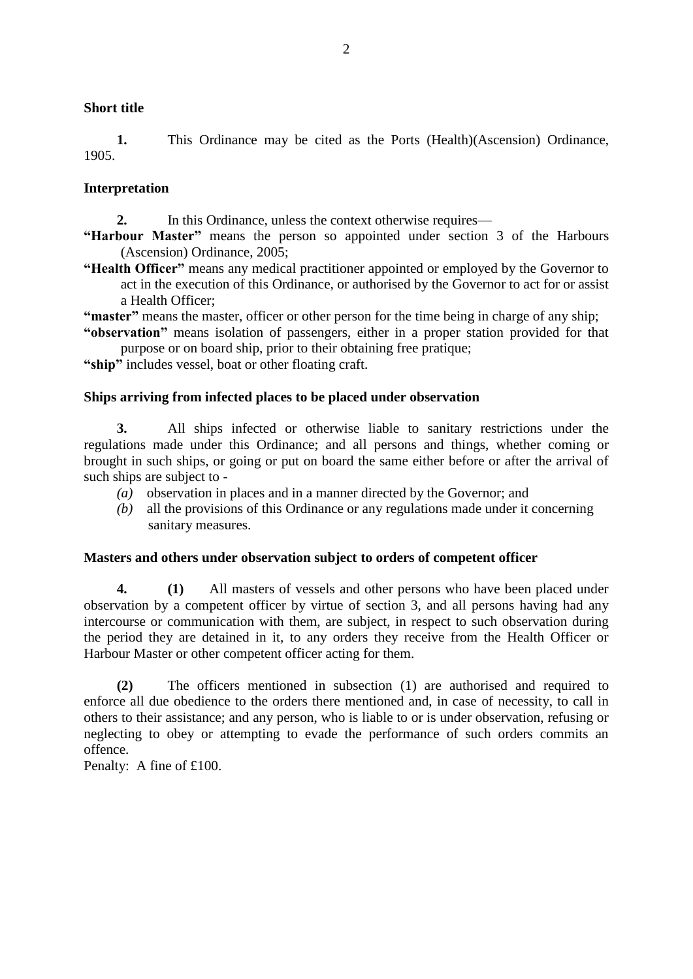#### **Short title**

**1.** This Ordinance may be cited as the Ports (Health)(Ascension) Ordinance, 1905.

#### **Interpretation**

**2.** In this Ordinance, unless the context otherwise requires—

**"Harbour Master"** means the person so appointed under section 3 of the Harbours (Ascension) Ordinance, 2005;

**"Health Officer"** means any medical practitioner appointed or employed by the Governor to act in the execution of this Ordinance, or authorised by the Governor to act for or assist a Health Officer;

**"master"** means the master, officer or other person for the time being in charge of any ship;

**"observation"** means isolation of passengers, either in a proper station provided for that purpose or on board ship, prior to their obtaining free pratique;

**"ship"** includes vessel, boat or other floating craft.

#### **Ships arriving from infected places to be placed under observation**

**3.** All ships infected or otherwise liable to sanitary restrictions under the regulations made under this Ordinance; and all persons and things, whether coming or brought in such ships, or going or put on board the same either before or after the arrival of such ships are subject to -

- *(a)* observation in places and in a manner directed by the Governor; and
- *(b)* all the provisions of this Ordinance or any regulations made under it concerning sanitary measures.

#### **Masters and others under observation subject to orders of competent officer**

**4. (1)** All masters of vessels and other persons who have been placed under observation by a competent officer by virtue of section 3, and all persons having had any intercourse or communication with them, are subject, in respect to such observation during the period they are detained in it, to any orders they receive from the Health Officer or Harbour Master or other competent officer acting for them.

**(2)** The officers mentioned in subsection (1) are authorised and required to enforce all due obedience to the orders there mentioned and, in case of necessity, to call in others to their assistance; and any person, who is liable to or is under observation, refusing or neglecting to obey or attempting to evade the performance of such orders commits an offence.

Penalty: A fine of £100.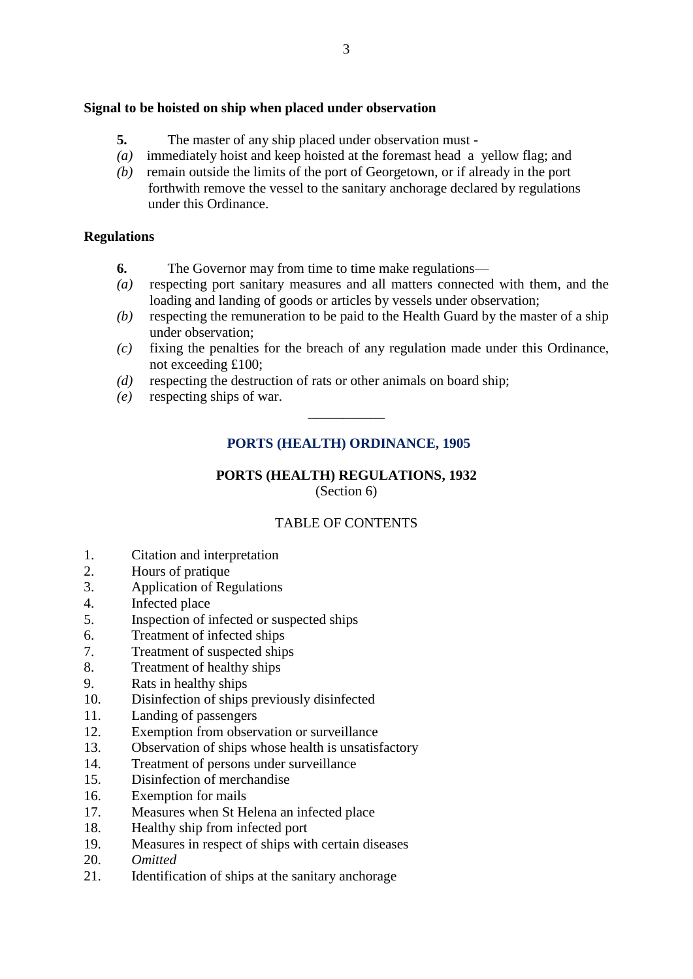### **Signal to be hoisted on ship when placed under observation**

- **5.** The master of any ship placed under observation must -
- *(a)* immediately hoist and keep hoisted at the foremast head a yellow flag; and
- *(b)* remain outside the limits of the port of Georgetown, or if already in the port forthwith remove the vessel to the sanitary anchorage declared by regulations under this Ordinance.

### **Regulations**

- **6.** The Governor may from time to time make regulations—
- *(a)* respecting port sanitary measures and all matters connected with them, and the loading and landing of goods or articles by vessels under observation;
- *(b)* respecting the remuneration to be paid to the Health Guard by the master of a ship under observation;
- *(c)* fixing the penalties for the breach of any regulation made under this Ordinance, not exceeding £100;
- *(d)* respecting the destruction of rats or other animals on board ship;
- *(e)* respecting ships of war.

# **PORTS (HEALTH) ORDINANCE, 1905**

\_\_\_\_\_\_\_\_\_\_\_

### **PORTS (HEALTH) REGULATIONS, 1932** (Section 6)

# TABLE OF CONTENTS

- 1. Citation and interpretation
- 2. Hours of pratique
- 3. Application of Regulations
- 4. Infected place
- 5. Inspection of infected or suspected ships
- 6. Treatment of infected ships
- 7. Treatment of suspected ships
- 8. Treatment of healthy ships
- 9. Rats in healthy ships
- 10. Disinfection of ships previously disinfected
- 11. Landing of passengers
- 12. Exemption from observation or surveillance
- 13. Observation of ships whose health is unsatisfactory
- 14. Treatment of persons under surveillance
- 15. Disinfection of merchandise
- 16. Exemption for mails
- 17. Measures when St Helena an infected place
- 18. Healthy ship from infected port
- 19. Measures in respect of ships with certain diseases
- 20. *Omitted*
- 21. Identification of ships at the sanitary anchorage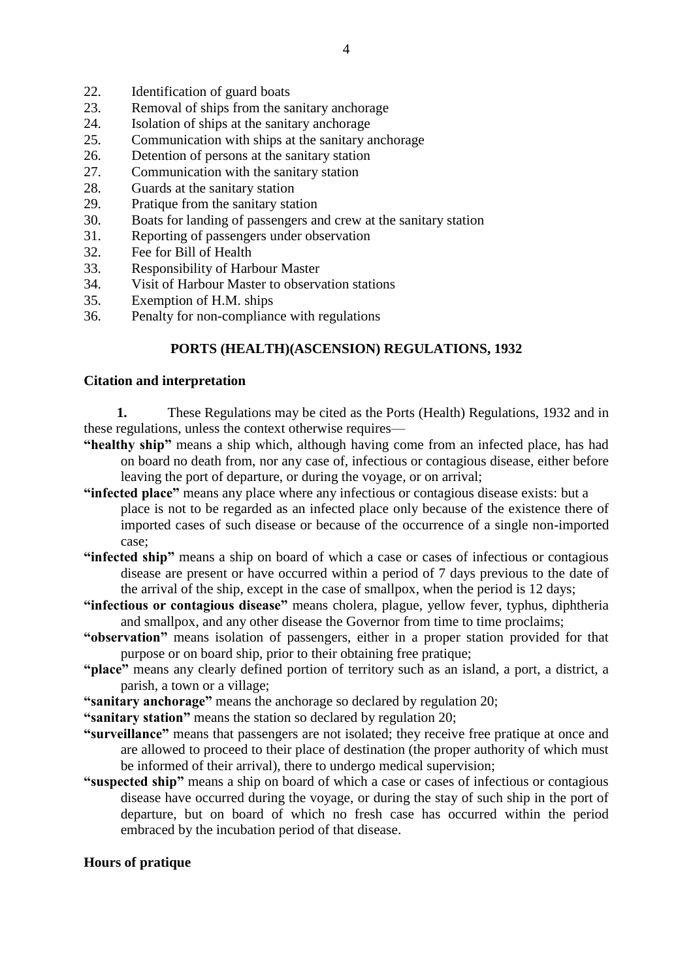- 22. Identification of guard boats
- 23. Removal of ships from the sanitary anchorage
- 24. Isolation of ships at the sanitary anchorage
- 25. Communication with ships at the sanitary anchorage
- 26. Detention of persons at the sanitary station
- 27. Communication with the sanitary station
- 28. Guards at the sanitary station
- 29. Pratique from the sanitary station
- 30. Boats for landing of passengers and crew at the sanitary station
- 31. Reporting of passengers under observation
- 32. Fee for Bill of Health
- 33. Responsibility of Harbour Master
- 34. Visit of Harbour Master to observation stations
- 35. Exemption of H.M. ships
- 36. Penalty for non-compliance with regulations

### **PORTS (HEALTH)(ASCENSION) REGULATIONS, 1932**

#### **Citation and interpretation**

**1.** These Regulations may be cited as the Ports (Health) Regulations, 1932 and in these regulations, unless the context otherwise requires—

- **"healthy ship"** means a ship which, although having come from an infected place, has had on board no death from, nor any case of, infectious or contagious disease, either before leaving the port of departure, or during the voyage, or on arrival;
- **"infected place"** means any place where any infectious or contagious disease exists: but a place is not to be regarded as an infected place only because of the existence there of imported cases of such disease or because of the occurrence of a single non-imported case;
- **"infected ship"** means a ship on board of which a case or cases of infectious or contagious disease are present or have occurred within a period of 7 days previous to the date of the arrival of the ship, except in the case of smallpox, when the period is 12 days;
- **"infectious or contagious disease"** means cholera, plague, yellow fever, typhus, diphtheria and smallpox, and any other disease the Governor from time to time proclaims;
- **"observation"** means isolation of passengers, either in a proper station provided for that purpose or on board ship, prior to their obtaining free pratique;
- **"place"** means any clearly defined portion of territory such as an island, a port, a district, a parish, a town or a village;
- **"sanitary anchorage"** means the anchorage so declared by regulation 20;
- **"sanitary station"** means the station so declared by regulation 20;
- **"surveillance"** means that passengers are not isolated; they receive free pratique at once and are allowed to proceed to their place of destination (the proper authority of which must be informed of their arrival), there to undergo medical supervision;
- **"suspected ship"** means a ship on board of which a case or cases of infectious or contagious disease have occurred during the voyage, or during the stay of such ship in the port of departure, but on board of which no fresh case has occurred within the period embraced by the incubation period of that disease.

### **Hours of pratique**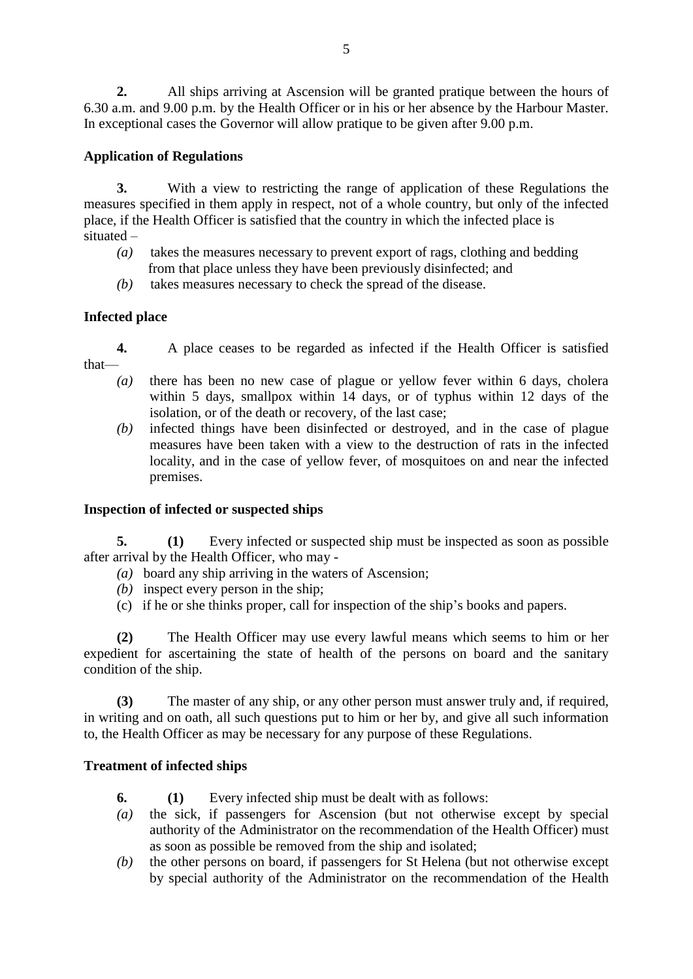**2.** All ships arriving at Ascension will be granted pratique between the hours of 6.30 a.m. and 9.00 p.m. by the Health Officer or in his or her absence by the Harbour Master. In exceptional cases the Governor will allow pratique to be given after 9.00 p.m.

# **Application of Regulations**

**3.** With a view to restricting the range of application of these Regulations the measures specified in them apply in respect, not of a whole country, but only of the infected place, if the Health Officer is satisfied that the country in which the infected place is situated –

- *(a)* takes the measures necessary to prevent export of rags, clothing and bedding from that place unless they have been previously disinfected; and
- *(b)* takes measures necessary to check the spread of the disease.

# **Infected place**

**4.** A place ceases to be regarded as infected if the Health Officer is satisfied that—

- *(a)* there has been no new case of plague or yellow fever within 6 days, cholera within 5 days, smallpox within 14 days, or of typhus within 12 days of the isolation, or of the death or recovery, of the last case;
- *(b)* infected things have been disinfected or destroyed, and in the case of plague measures have been taken with a view to the destruction of rats in the infected locality, and in the case of yellow fever, of mosquitoes on and near the infected premises.

# **Inspection of infected or suspected ships**

**5. (1)** Every infected or suspected ship must be inspected as soon as possible after arrival by the Health Officer, who may -

- *(a)* board any ship arriving in the waters of Ascension;
- *(b)* inspect every person in the ship;
- (c) if he or she thinks proper, call for inspection of the ship's books and papers.

**(2)** The Health Officer may use every lawful means which seems to him or her expedient for ascertaining the state of health of the persons on board and the sanitary condition of the ship.

**(3)** The master of any ship, or any other person must answer truly and, if required, in writing and on oath, all such questions put to him or her by, and give all such information to, the Health Officer as may be necessary for any purpose of these Regulations.

# **Treatment of infected ships**

- **6. (1)** Every infected ship must be dealt with as follows:
- *(a)* the sick, if passengers for Ascension (but not otherwise except by special authority of the Administrator on the recommendation of the Health Officer) must as soon as possible be removed from the ship and isolated;
- *(b)* the other persons on board, if passengers for St Helena (but not otherwise except by special authority of the Administrator on the recommendation of the Health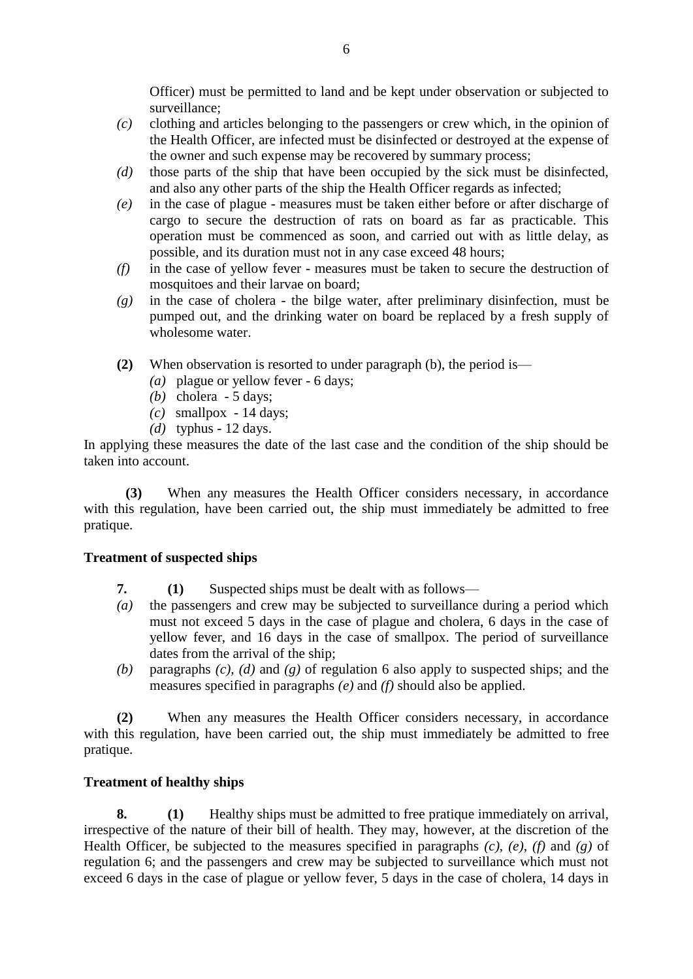Officer) must be permitted to land and be kept under observation or subjected to surveillance;

- *(c)* clothing and articles belonging to the passengers or crew which, in the opinion of the Health Officer, are infected must be disinfected or destroyed at the expense of the owner and such expense may be recovered by summary process;
- *(d)* those parts of the ship that have been occupied by the sick must be disinfected, and also any other parts of the ship the Health Officer regards as infected;
- *(e)* in the case of plague measures must be taken either before or after discharge of cargo to secure the destruction of rats on board as far as practicable. This operation must be commenced as soon, and carried out with as little delay, as possible, and its duration must not in any case exceed 48 hours;
- *(f)* in the case of yellow fever measures must be taken to secure the destruction of mosquitoes and their larvae on board;
- *(g)* in the case of cholera the bilge water, after preliminary disinfection, must be pumped out, and the drinking water on board be replaced by a fresh supply of wholesome water.
- **(2)** When observation is resorted to under paragraph (b), the period is—
	- *(a)* plague or yellow fever 6 days;
	- *(b)* cholera 5 days;
	- *(c)* smallpox 14 days;
	- *(d)* typhus 12 days.

In applying these measures the date of the last case and the condition of the ship should be taken into account.

**(3)** When any measures the Health Officer considers necessary, in accordance with this regulation, have been carried out, the ship must immediately be admitted to free pratique.

### **Treatment of suspected ships**

- **7. (1)** Suspected ships must be dealt with as follows—
- *(a)* the passengers and crew may be subjected to surveillance during a period which must not exceed 5 days in the case of plague and cholera, 6 days in the case of yellow fever, and 16 days in the case of smallpox. The period of surveillance dates from the arrival of the ship;
- *(b)* paragraphs *(c)*, *(d)* and *(g)* of regulation 6 also apply to suspected ships; and the measures specified in paragraphs *(e)* and *(f)* should also be applied.

**(2)** When any measures the Health Officer considers necessary, in accordance with this regulation, have been carried out, the ship must immediately be admitted to free pratique.

### **Treatment of healthy ships**

**8. (1)** Healthy ships must be admitted to free pratique immediately on arrival, irrespective of the nature of their bill of health. They may, however, at the discretion of the Health Officer, be subjected to the measures specified in paragraphs *(c)*, *(e)*, *(f)* and *(g)* of regulation 6; and the passengers and crew may be subjected to surveillance which must not exceed 6 days in the case of plague or yellow fever, 5 days in the case of cholera, 14 days in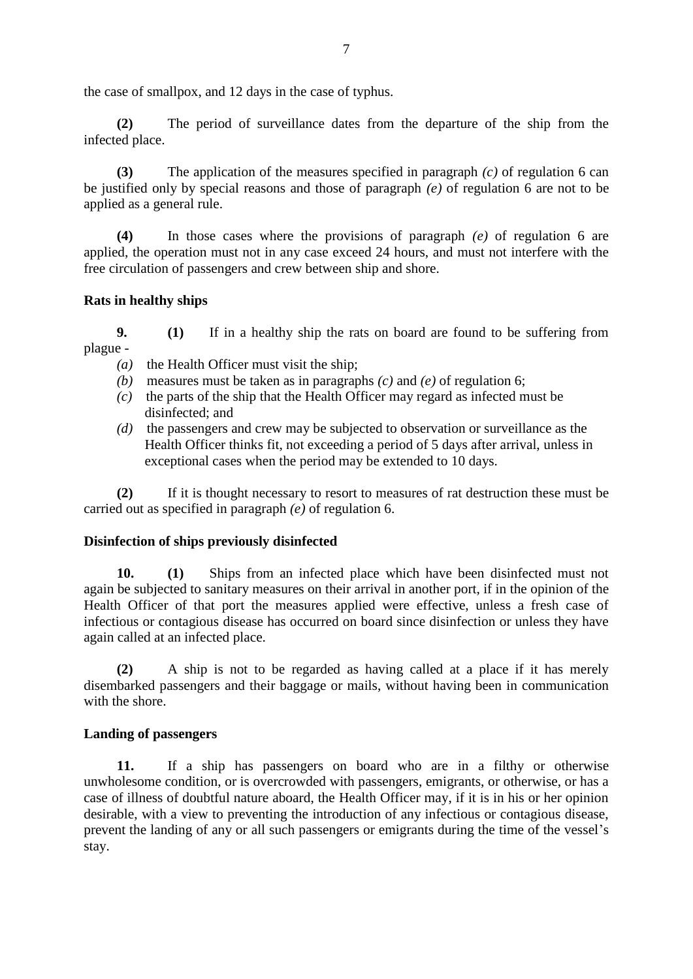the case of smallpox, and 12 days in the case of typhus.

**(2)** The period of surveillance dates from the departure of the ship from the infected place.

**(3)** The application of the measures specified in paragraph *(c)* of regulation 6 can be justified only by special reasons and those of paragraph *(e)* of regulation 6 are not to be applied as a general rule.

**(4)** In those cases where the provisions of paragraph *(e)* of regulation 6 are applied, the operation must not in any case exceed 24 hours, and must not interfere with the free circulation of passengers and crew between ship and shore.

#### **Rats in healthy ships**

**9. (1)** If in a healthy ship the rats on board are found to be suffering from plague -

*(a)* the Health Officer must visit the ship;

- *(b)* measures must be taken as in paragraphs *(c)* and *(e)* of regulation 6;
- *(c)* the parts of the ship that the Health Officer may regard as infected must be disinfected; and
- *(d)* the passengers and crew may be subjected to observation or surveillance as the Health Officer thinks fit, not exceeding a period of 5 days after arrival, unless in exceptional cases when the period may be extended to 10 days.

**(2)** If it is thought necessary to resort to measures of rat destruction these must be carried out as specified in paragraph *(e)* of regulation 6.

#### **Disinfection of ships previously disinfected**

**10. (1)** Ships from an infected place which have been disinfected must not again be subjected to sanitary measures on their arrival in another port, if in the opinion of the Health Officer of that port the measures applied were effective, unless a fresh case of infectious or contagious disease has occurred on board since disinfection or unless they have again called at an infected place.

**(2)** A ship is not to be regarded as having called at a place if it has merely disembarked passengers and their baggage or mails, without having been in communication with the shore.

#### **Landing of passengers**

**11.** If a ship has passengers on board who are in a filthy or otherwise unwholesome condition, or is overcrowded with passengers, emigrants, or otherwise, or has a case of illness of doubtful nature aboard, the Health Officer may, if it is in his or her opinion desirable, with a view to preventing the introduction of any infectious or contagious disease, prevent the landing of any or all such passengers or emigrants during the time of the vessel's stay.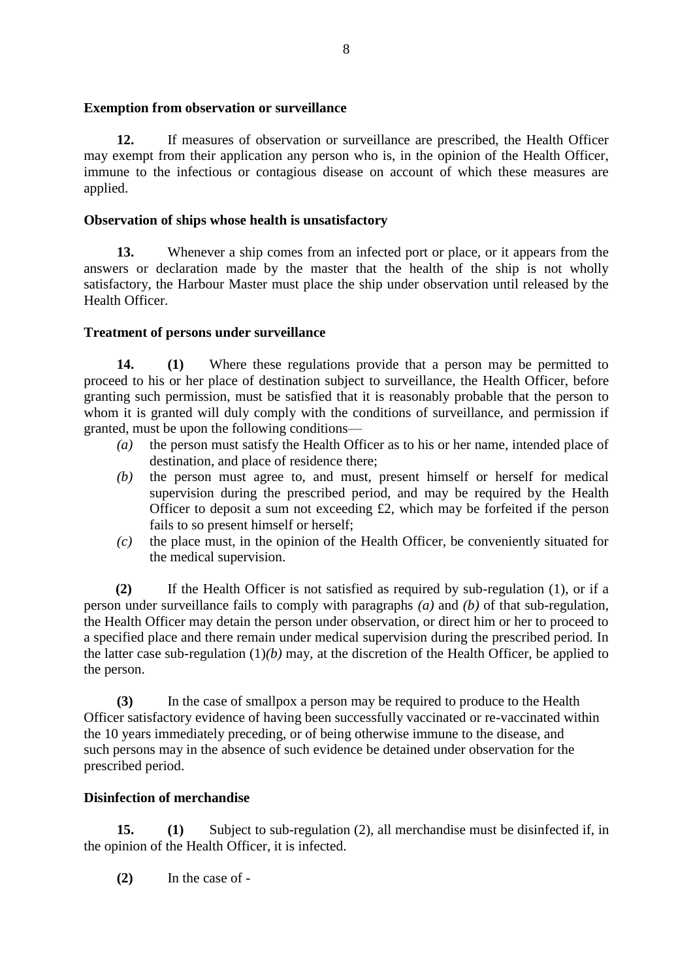**Exemption from observation or surveillance**

**12.** If measures of observation or surveillance are prescribed, the Health Officer may exempt from their application any person who is, in the opinion of the Health Officer, immune to the infectious or contagious disease on account of which these measures are applied.

# **Observation of ships whose health is unsatisfactory**

**13.** Whenever a ship comes from an infected port or place, or it appears from the answers or declaration made by the master that the health of the ship is not wholly satisfactory, the Harbour Master must place the ship under observation until released by the Health Officer.

# **Treatment of persons under surveillance**

**14. (1)** Where these regulations provide that a person may be permitted to proceed to his or her place of destination subject to surveillance, the Health Officer, before granting such permission, must be satisfied that it is reasonably probable that the person to whom it is granted will duly comply with the conditions of surveillance, and permission if granted, must be upon the following conditions—

- *(a)* the person must satisfy the Health Officer as to his or her name, intended place of destination, and place of residence there;
- *(b)* the person must agree to, and must, present himself or herself for medical supervision during the prescribed period, and may be required by the Health Officer to deposit a sum not exceeding £2, which may be forfeited if the person fails to so present himself or herself;
- *(c)* the place must, in the opinion of the Health Officer, be conveniently situated for the medical supervision.

**(2)** If the Health Officer is not satisfied as required by sub-regulation (1), or if a person under surveillance fails to comply with paragraphs *(a)* and *(b)* of that sub-regulation, the Health Officer may detain the person under observation, or direct him or her to proceed to a specified place and there remain under medical supervision during the prescribed period. In the latter case sub-regulation (1)*(b)* may, at the discretion of the Health Officer, be applied to the person.

**(3)** In the case of smallpox a person may be required to produce to the Health Officer satisfactory evidence of having been successfully vaccinated or re-vaccinated within the 10 years immediately preceding, or of being otherwise immune to the disease, and such persons may in the absence of such evidence be detained under observation for the prescribed period.

# **Disinfection of merchandise**

**15. (1)** Subject to sub-regulation (2), all merchandise must be disinfected if, in the opinion of the Health Officer, it is infected.

**(2)** In the case of -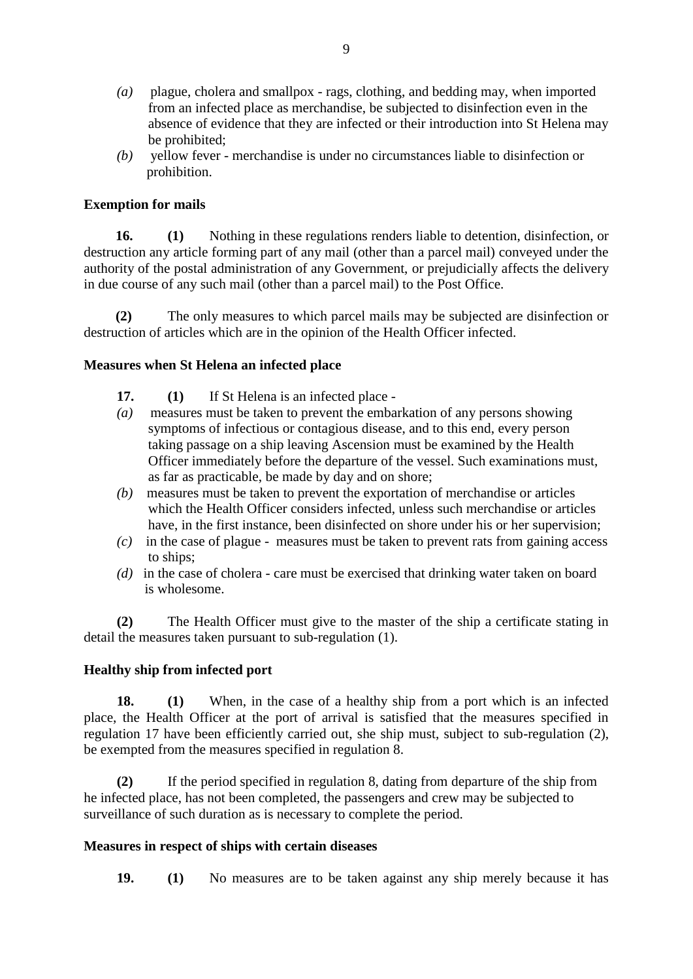- *(a)* plague, cholera and smallpox rags, clothing, and bedding may, when imported from an infected place as merchandise, be subjected to disinfection even in the absence of evidence that they are infected or their introduction into St Helena may be prohibited;
- *(b)* yellow fever merchandise is under no circumstances liable to disinfection or prohibition.

### **Exemption for mails**

**16. (1)** Nothing in these regulations renders liable to detention, disinfection, or destruction any article forming part of any mail (other than a parcel mail) conveyed under the authority of the postal administration of any Government, or prejudicially affects the delivery in due course of any such mail (other than a parcel mail) to the Post Office.

**(2)** The only measures to which parcel mails may be subjected are disinfection or destruction of articles which are in the opinion of the Health Officer infected.

### **Measures when St Helena an infected place**

- **17. (1)** If St Helena is an infected place -
- *(a)* measures must be taken to prevent the embarkation of any persons showing symptoms of infectious or contagious disease, and to this end, every person taking passage on a ship leaving Ascension must be examined by the Health Officer immediately before the departure of the vessel. Such examinations must, as far as practicable, be made by day and on shore;
- *(b)* measures must be taken to prevent the exportation of merchandise or articles which the Health Officer considers infected, unless such merchandise or articles have, in the first instance, been disinfected on shore under his or her supervision;
- *(c)* in the case of plague measures must be taken to prevent rats from gaining access to ships;
- *(d)* in the case of cholera care must be exercised that drinking water taken on board is wholesome.

**(2)** The Health Officer must give to the master of the ship a certificate stating in detail the measures taken pursuant to sub-regulation (1).

### **Healthy ship from infected port**

**18. (1)** When, in the case of a healthy ship from a port which is an infected place, the Health Officer at the port of arrival is satisfied that the measures specified in regulation 17 have been efficiently carried out, she ship must, subject to sub-regulation (2), be exempted from the measures specified in regulation 8.

**(2)** If the period specified in regulation 8, dating from departure of the ship from he infected place, has not been completed, the passengers and crew may be subjected to surveillance of such duration as is necessary to complete the period.

### **Measures in respect of ships with certain diseases**

**19. (1)** No measures are to be taken against any ship merely because it has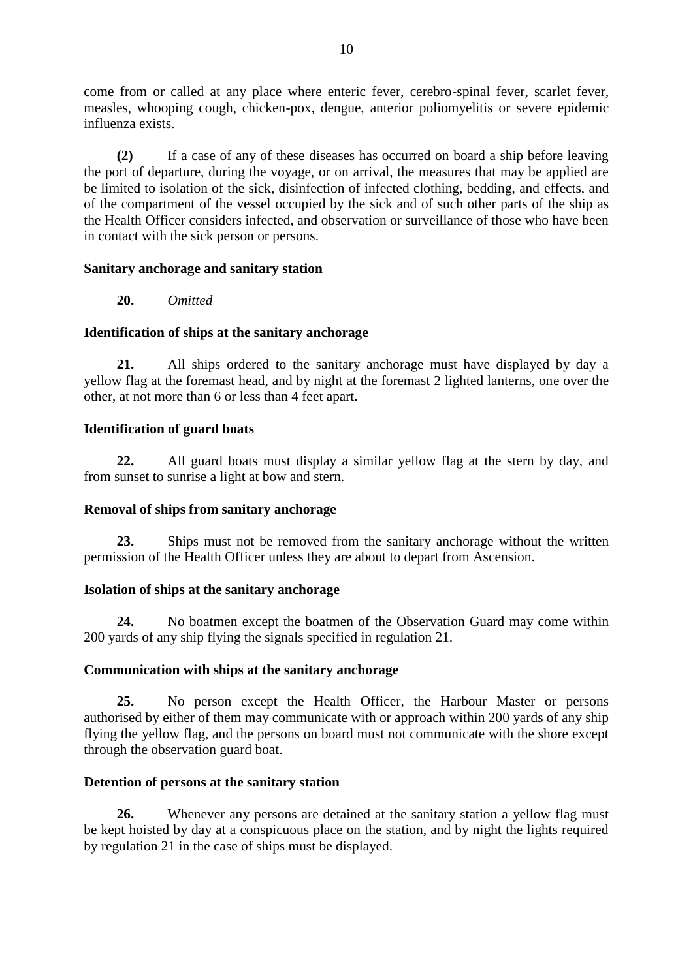come from or called at any place where enteric fever, cerebro-spinal fever, scarlet fever, measles, whooping cough, chicken-pox, dengue, anterior poliomyelitis or severe epidemic influenza exists.

**(2)** If a case of any of these diseases has occurred on board a ship before leaving the port of departure, during the voyage, or on arrival, the measures that may be applied are be limited to isolation of the sick, disinfection of infected clothing, bedding, and effects, and of the compartment of the vessel occupied by the sick and of such other parts of the ship as the Health Officer considers infected, and observation or surveillance of those who have been in contact with the sick person or persons.

### **Sanitary anchorage and sanitary station**

**20.** *Omitted*

# **Identification of ships at the sanitary anchorage**

**21.** All ships ordered to the sanitary anchorage must have displayed by day a yellow flag at the foremast head, and by night at the foremast 2 lighted lanterns, one over the other, at not more than 6 or less than 4 feet apart.

### **Identification of guard boats**

**22.** All guard boats must display a similar yellow flag at the stern by day, and from sunset to sunrise a light at bow and stern.

### **Removal of ships from sanitary anchorage**

**23.** Ships must not be removed from the sanitary anchorage without the written permission of the Health Officer unless they are about to depart from Ascension.

# **Isolation of ships at the sanitary anchorage**

**24.** No boatmen except the boatmen of the Observation Guard may come within 200 yards of any ship flying the signals specified in regulation 21.

### **Communication with ships at the sanitary anchorage**

**25.** No person except the Health Officer, the Harbour Master or persons authorised by either of them may communicate with or approach within 200 yards of any ship flying the yellow flag, and the persons on board must not communicate with the shore except through the observation guard boat.

### **Detention of persons at the sanitary station**

**26.** Whenever any persons are detained at the sanitary station a yellow flag must be kept hoisted by day at a conspicuous place on the station, and by night the lights required by regulation 21 in the case of ships must be displayed.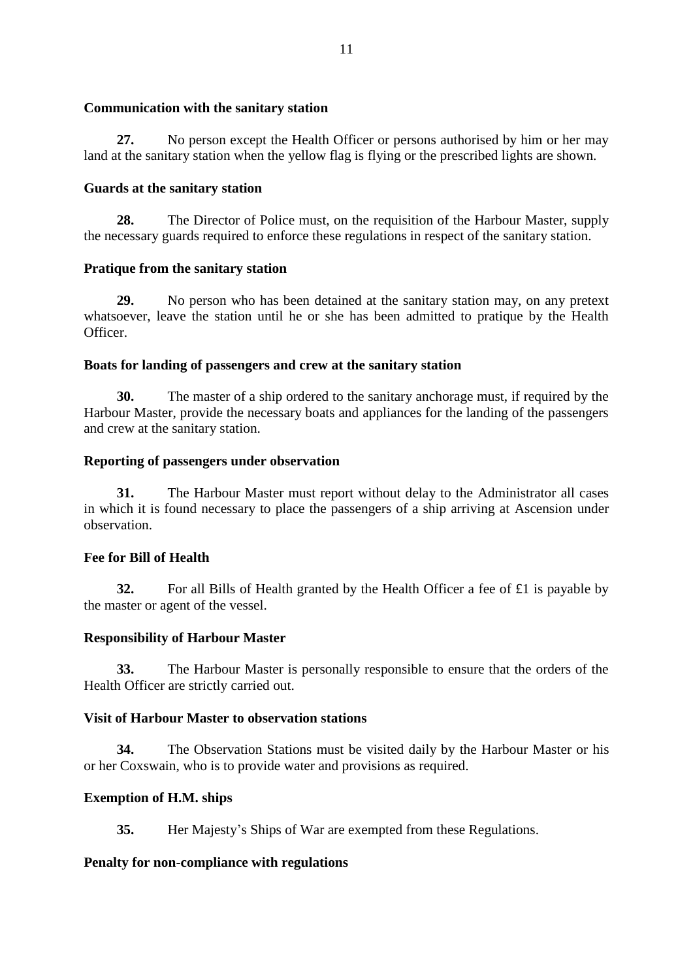### **Communication with the sanitary station**

**27.** No person except the Health Officer or persons authorised by him or her may land at the sanitary station when the yellow flag is flying or the prescribed lights are shown.

### **Guards at the sanitary station**

**28.** The Director of Police must, on the requisition of the Harbour Master, supply the necessary guards required to enforce these regulations in respect of the sanitary station.

### **Pratique from the sanitary station**

**29.** No person who has been detained at the sanitary station may, on any pretext whatsoever, leave the station until he or she has been admitted to pratique by the Health Officer.

#### **Boats for landing of passengers and crew at the sanitary station**

**30.** The master of a ship ordered to the sanitary anchorage must, if required by the Harbour Master, provide the necessary boats and appliances for the landing of the passengers and crew at the sanitary station.

#### **Reporting of passengers under observation**

**31.** The Harbour Master must report without delay to the Administrator all cases in which it is found necessary to place the passengers of a ship arriving at Ascension under observation.

### **Fee for Bill of Health**

**32.** For all Bills of Health granted by the Health Officer a fee of £1 is payable by the master or agent of the vessel.

### **Responsibility of Harbour Master**

**33.** The Harbour Master is personally responsible to ensure that the orders of the Health Officer are strictly carried out.

### **Visit of Harbour Master to observation stations**

**34.** The Observation Stations must be visited daily by the Harbour Master or his or her Coxswain, who is to provide water and provisions as required.

### **Exemption of H.M. ships**

**35.** Her Majesty's Ships of War are exempted from these Regulations.

### **Penalty for non-compliance with regulations**